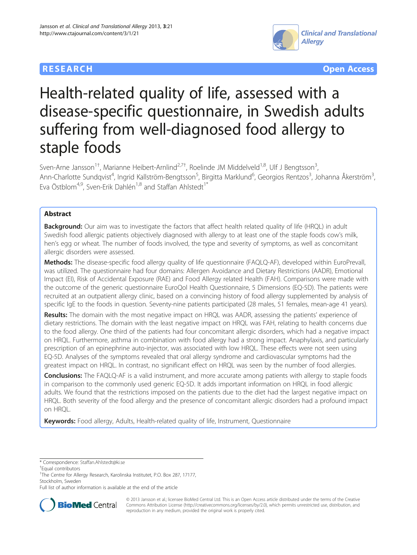

**RESEARCH CHE Open Access** 

# Health-related quality of life, assessed with a disease-specific questionnaire, in Swedish adults suffering from well-diagnosed food allergy to staple foods

Sven-Arne Jansson<sup>1†</sup>, Marianne Heibert-Arnlind<sup>2,7†</sup>, Roelinde JM Middelveld<sup>1,8</sup>, Ulf J Bengtsson<sup>3</sup> , Ann-Charlotte Sundqvist<sup>4</sup>, Ingrid Kallström-Bengtsson<sup>5</sup>, Birgitta Marklund<sup>6</sup>, Georgios Rentzos<sup>3</sup>, Johanna Åkerström<sup>3</sup> , Eva Östblom<sup>4,9</sup>, Sven-Erik Dahlén<sup>1,8</sup> and Staffan Ahlstedt<sup>1\*</sup>

# Abstract

Background: Our aim was to investigate the factors that affect health related quality of life (HRQL) in adult Swedish food allergic patients objectively diagnosed with allergy to at least one of the staple foods cow's milk, hen's egg or wheat. The number of foods involved, the type and severity of symptoms, as well as concomitant allergic disorders were assessed.

Methods: The disease-specific food allergy quality of life questionnaire (FAQLQ-AF), developed within EuroPrevall, was utilized. The questionnaire had four domains: Allergen Avoidance and Dietary Restrictions (AADR), Emotional Impact (EI), Risk of Accidental Exposure (RAE) and Food Allergy related Health (FAH). Comparisons were made with the outcome of the generic questionnaire EuroQol Health Questionnaire, 5 Dimensions (EQ-5D). The patients were recruited at an outpatient allergy clinic, based on a convincing history of food allergy supplemented by analysis of specific IgE to the foods in question. Seventy-nine patients participated (28 males, 51 females, mean-age 41 years).

Results: The domain with the most negative impact on HRQL was AADR, assessing the patients' experience of dietary restrictions. The domain with the least negative impact on HRQL was FAH, relating to health concerns due to the food allergy. One third of the patients had four concomitant allergic disorders, which had a negative impact on HRQL. Furthermore, asthma in combination with food allergy had a strong impact. Anaphylaxis, and particularly prescription of an epinephrine auto-injector, was associated with low HRQL. These effects were not seen using EQ-5D. Analyses of the symptoms revealed that oral allergy syndrome and cardiovascular symptoms had the greatest impact on HRQL. In contrast, no significant effect on HRQL was seen by the number of food allergies.

**Conclusions:** The FAQLQ-AF is a valid instrument, and more accurate among patients with allergy to staple foods in comparison to the commonly used generic EQ-5D. It adds important information on HRQL in food allergic adults. We found that the restrictions imposed on the patients due to the diet had the largest negative impact on HRQL. Both severity of the food allergy and the presence of concomitant allergic disorders had a profound impact on HRQL.

Keywords: Food allergy, Adults, Health-related quality of life, Instrument, Questionnaire

\* Correspondence: [Staffan.Ahlstedt@ki.se](mailto:Staffan.Ahlstedt@ki.se) †

Equal contributors

Full list of author information is available at the end of the article



© 2013 Jansson et al.; licensee BioMed Central Ltd. This is an Open Access article distributed under the terms of the Creative Commons Attribution License [\(http://creativecommons.org/licenses/by/2.0\)](http://creativecommons.org/licenses/by/2.0), which permits unrestricted use, distribution, and reproduction in any medium, provided the original work is properly cited.

<sup>&</sup>lt;sup>1</sup>The Centre for Allergy Research, Karolinska Institutet, P.O. Box 287, 17177, Stockholm, Sweden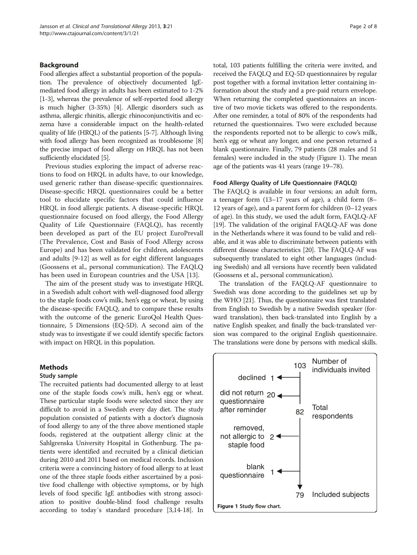# Background

Food allergies affect a substantial proportion of the population. The prevalence of objectively documented IgEmediated food allergy in adults has been estimated to 1-2% [[1-3\]](#page-7-0), whereas the prevalence of self-reported food allergy is much higher (3-35%) [[4\]](#page-7-0). Allergic disorders such as asthma, allergic rhinitis, allergic rhinoconjunctivitis and eczema have a considerable impact on the health-related quality of life (HRQL) of the patients [\[5](#page-7-0)-[7](#page-7-0)]. Although living with food allergy has been recognized as troublesome [[8](#page-7-0)] the precise impact of food allergy on HRQL has not been sufficiently elucidated [[5](#page-7-0)].

Previous studies exploring the impact of adverse reactions to food on HRQL in adults have, to our knowledge, used generic rather than disease-specific questionnaires. Disease-specific HRQL questionnaires could be a better tool to elucidate specific factors that could influence HRQL in food allergic patients. A disease-specific HRQL questionnaire focused on food allergy, the Food Allergy Quality of Life Questionnaire (FAQLQ), has recently been developed as part of the EU project EuroPrevall (The Prevalence, Cost and Basis of Food Allergy across Europe) and has been validated for children, adolescents and adults [\[9](#page-7-0)-[12\]](#page-7-0) as well as for eight different languages (Goossens et al., personal communication). The FAQLQ has been used in European countries and the USA [[13\]](#page-7-0).

The aim of the present study was to investigate HRQL in a Swedish adult cohort with well-diagnosed food allergy to the staple foods cow's milk, hen's egg or wheat, by using the disease-specific FAQLQ, and to compare these results with the outcome of the generic EuroQol Health Questionnaire, 5 Dimensions (EQ-5D). A second aim of the study was to investigate if we could identify specific factors with impact on HRQL in this population.

#### Methods

# Study sample

The recruited patients had documented allergy to at least one of the staple foods cow's milk, hen's egg or wheat. These particular staple foods were selected since they are difficult to avoid in a Swedish every day diet. The study population consisted of patients with a doctor's diagnosis of food allergy to any of the three above mentioned staple foods, registered at the outpatient allergy clinic at the Sahlgrenska University Hospital in Gothenburg. The patients were identified and recruited by a clinical dietician during 2010 and 2011 based on medical records. Inclusion criteria were a convincing history of food allergy to at least one of the three staple foods either ascertained by a positive food challenge with objective symptoms, or by high levels of food specific IgE antibodies with strong association to positive double-blind food challenge results according to today´s standard procedure [\[3,14-18\]](#page-7-0). In total, 103 patients fulfilling the criteria were invited, and received the FAQLQ and EQ-5D questionnaires by regular post together with a formal invitation letter containing information about the study and a pre-paid return envelope. When returning the completed questionnaires an incentive of two movie tickets was offered to the respondents. After one reminder, a total of 80% of the respondents had returned the questionnaires. Two were excluded because the respondents reported not to be allergic to cow's milk, hen's egg or wheat any longer, and one person returned a blank questionnaire. Finally, 79 patients (28 males and 51 females) were included in the study (Figure 1). The mean age of the patients was 41 years (range 19–78).

#### Food Allergy Quality of Life Questionnaire (FAQLQ)

The FAQLQ is available in four versions; an adult form, a teenager form (13–17 years of age), a child form (8– 12 years of age), and a parent form for children (0–12 years of age). In this study, we used the adult form, FAQLQ-AF [[19](#page-7-0)]. The validation of the original FAQLQ-AF was done in the Netherlands where it was found to be valid and reliable, and it was able to discriminate between patients with different disease characteristics [[20](#page-7-0)]. The FAQLQ-AF was subsequently translated to eight other languages (including Swedish) and all versions have recently been validated (Goossens et al., personal communication).

The translation of the FAQLQ-AF questionnaire to Swedish was done according to the guidelines set up by the WHO [\[21\]](#page-7-0). Thus, the questionnaire was first translated from English to Swedish by a native Swedish speaker (forward translation), then back-translated into English by a native English speaker, and finally the back-translated version was compared to the original English questionnaire. The translations were done by persons with medical skills.

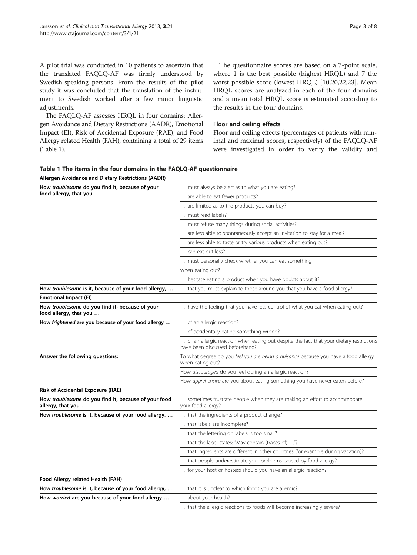A pilot trial was conducted in 10 patients to ascertain that the translated FAQLQ-AF was firmly understood by Swedish-speaking persons. From the results of the pilot study it was concluded that the translation of the instrument to Swedish worked after a few minor linguistic adjustments.

The FAQLQ-AF assesses HRQL in four domains: Allergen Avoidance and Dietary Restrictions (AADR), Emotional Impact (EI), Risk of Accidental Exposure (RAE), and Food Allergy related Health (FAH), containing a total of 29 items (Table 1).

The questionnaire scores are based on a 7-point scale, where 1 is the best possible (highest HRQL) and 7 the worst possible score (lowest HRQL) [[10,20,22](#page-7-0),[23](#page-7-0)]. Mean HRQL scores are analyzed in each of the four domains and a mean total HRQL score is estimated according to the results in the four domains.

# Floor and ceiling effects

Floor and ceiling effects (percentages of patients with minimal and maximal scores, respectively) of the FAQLQ-AF were investigated in order to verify the validity and

| Table 1 The items in the four domains in the FAQLQ-AF questionnaire |  |  |  |
|---------------------------------------------------------------------|--|--|--|
|---------------------------------------------------------------------|--|--|--|

| Allergen Avoidance and Dietary Restrictions (AADR)                        |                                                                                                                            |  |  |  |  |
|---------------------------------------------------------------------------|----------------------------------------------------------------------------------------------------------------------------|--|--|--|--|
| How troublesome do you find it, because of your                           | must always be alert as to what you are eating?<br>are able to eat fewer products?                                         |  |  |  |  |
| food allergy, that you                                                    |                                                                                                                            |  |  |  |  |
|                                                                           | are limited as to the products you can buy?                                                                                |  |  |  |  |
|                                                                           | must read labels?                                                                                                          |  |  |  |  |
|                                                                           | must refuse many things during social activities?                                                                          |  |  |  |  |
|                                                                           | are less able to spontaneously accept an invitation to stay for a meal?                                                    |  |  |  |  |
|                                                                           | are less able to taste or try various products when eating out?                                                            |  |  |  |  |
|                                                                           | can eat out less?                                                                                                          |  |  |  |  |
|                                                                           | must personally check whether you can eat something                                                                        |  |  |  |  |
|                                                                           | when eating out?                                                                                                           |  |  |  |  |
|                                                                           | hesitate eating a product when you have doubts about it?                                                                   |  |  |  |  |
| How troublesome is it, because of your food allergy,                      | that you must explain to those around you that you have a food allergy?                                                    |  |  |  |  |
| <b>Emotional Impact (EI)</b>                                              |                                                                                                                            |  |  |  |  |
| How troublesome do you find it, because of your<br>food allergy, that you | have the feeling that you have less control of what you eat when eating out?                                               |  |  |  |  |
| How frightened are you because of your food allergy                       | of an allergic reaction?                                                                                                   |  |  |  |  |
|                                                                           | of accidentally eating something wrong?                                                                                    |  |  |  |  |
|                                                                           | of an allergic reaction when eating out despite the fact that your dietary restrictions<br>have been discussed beforehand? |  |  |  |  |
| Answer the following questions:                                           | To what degree do you feel you are being a nuisance because you have a food allergy<br>when eating out?                    |  |  |  |  |
|                                                                           | How discouraged do you feel during an allergic reaction?                                                                   |  |  |  |  |
|                                                                           | How apprehensive are you about eating something you have never eaten before?                                               |  |  |  |  |
| <b>Risk of Accidental Exposure (RAE)</b>                                  |                                                                                                                            |  |  |  |  |
| How troublesome do you find it, because of your food<br>allergy, that you | sometimes frustrate people when they are making an effort to accommodate<br>your food allergy?                             |  |  |  |  |
| How troublesome is it, because of your food allergy,                      | that the ingredients of a product change?                                                                                  |  |  |  |  |
|                                                                           | that labels are incomplete?                                                                                                |  |  |  |  |
|                                                                           | that the lettering on labels is too small?                                                                                 |  |  |  |  |
|                                                                           | that the label states: "May contain (traces of)"?                                                                          |  |  |  |  |
|                                                                           | that ingredients are different in other countries (for example during vacation)?                                           |  |  |  |  |
|                                                                           | that people underestimate your problems caused by food allergy?                                                            |  |  |  |  |
|                                                                           | for your host or hostess should you have an allergic reaction?                                                             |  |  |  |  |
| Food Allergy related Health (FAH)                                         |                                                                                                                            |  |  |  |  |
| How troublesome is it, because of your food allergy,                      | that it is unclear to which foods you are allergic?                                                                        |  |  |  |  |
| How worried are you because of your food allergy                          | about your health?                                                                                                         |  |  |  |  |
|                                                                           | that the allergic reactions to foods will become increasingly severe?                                                      |  |  |  |  |
|                                                                           |                                                                                                                            |  |  |  |  |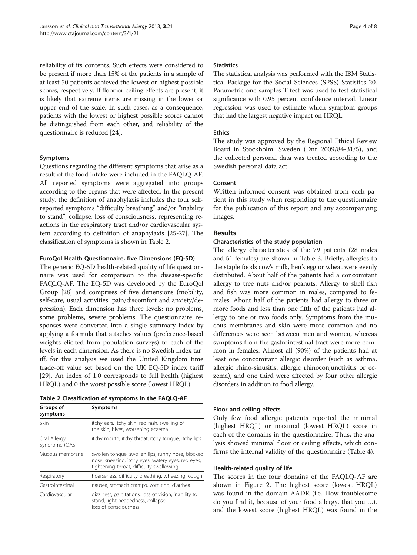reliability of its contents. Such effects were considered to be present if more than 15% of the patients in a sample of at least 50 patients achieved the lowest or highest possible scores, respectively. If floor or ceiling effects are present, it is likely that extreme items are missing in the lower or upper end of the scale. In such cases, as a consequence, patients with the lowest or highest possible scores cannot be distinguished from each other, and reliability of the questionnaire is reduced [[24\]](#page-7-0).

# Symptoms

Questions regarding the different symptoms that arise as a result of the food intake were included in the FAQLQ-AF. All reported symptoms were aggregated into groups according to the organs that were affected. In the present study, the definition of anaphylaxis includes the four selfreported symptoms "difficulty breathing" and/or "inability to stand", collapse, loss of consciousness, representing reactions in the respiratory tract and/or cardiovascular system according to definition of anaphylaxis [\[25-27\]](#page-7-0). The classification of symptoms is shown in Table 2.

# EuroQol Health Questionnaire, five Dimensions (EQ-5D)

The generic EQ-5D health-related quality of life questionnaire was used for comparison to the disease-specific FAQLQ-AF. The EQ-5D was developed by the EuroQol Group [\[28](#page-7-0)] and comprises of five dimensions (mobility, self-care, usual activities, pain/discomfort and anxiety/depression). Each dimension has three levels: no problems, some problems, severe problems. The questionnaire responses were converted into a single summary index by applying a formula that attaches values (preference-based weights elicited from population surveys) to each of the levels in each dimension. As there is no Swedish index tariff, for this analysis we used the United Kingdom time trade-off value set based on the UK EQ-5D index tariff [[29](#page-7-0)]. An index of 1.0 corresponds to full health (highest HRQL) and 0 the worst possible score (lowest HRQL).

|  | Table 2 Classification of symptoms in the FAQLQ-AF |  |  |  |  |
|--|----------------------------------------------------|--|--|--|--|
|--|----------------------------------------------------|--|--|--|--|

| Groups of<br>symptoms          | Symptoms                                                                                                                                            |
|--------------------------------|-----------------------------------------------------------------------------------------------------------------------------------------------------|
| Skin                           | itchy ears, itchy skin, red rash, swelling of<br>the skin, hives, worsening eczema                                                                  |
| Oral Allergy<br>Syndrome (OAS) | itchy mouth, itchy throat, itchy tongue, itchy lips                                                                                                 |
| Mucous membrane                | swollen tongue, swollen lips, runny nose, blocked<br>nose, sneezing, itchy eyes, watery eyes, red eyes,<br>tightening throat, difficulty swallowing |
| Respiratory                    | hoarseness, difficulty breathing, wheezing, cough                                                                                                   |
| Gastrointestinal               | nausea, stomach cramps, vomiting, diarrhea                                                                                                          |
| Cardiovascular                 | dizziness, palpitations, loss of vision, inability to<br>stand, light headedness, collapse,<br>loss of consciousness                                |

#### **Statistics**

The statistical analysis was performed with the IBM Statistical Package for the Social Sciences (SPSS) Statistics 20. Parametric one-samples T-test was used to test statistical significance with 0.95 percent confidence interval. Linear regression was used to estimate which symptom groups that had the largest negative impact on HRQL.

#### **Ethics**

The study was approved by the Regional Ethical Review Board in Stockholm, Sweden (Dnr 2009/84-31/5), and the collected personal data was treated according to the Swedish personal data act.

# Consent

Written informed consent was obtained from each patient in this study when responding to the questionnaire for the publication of this report and any accompanying images.

# Results

# Characteristics of the study population

The allergy characteristics of the 79 patients (28 males and 51 females) are shown in Table [3](#page-4-0). Briefly, allergies to the staple foods cow's milk, hen's egg or wheat were evenly distributed. About half of the patients had a concomitant allergy to tree nuts and/or peanuts. Allergy to shell fish and fish was more common in males, compared to females. About half of the patients had allergy to three or more foods and less than one fifth of the patients had allergy to one or two foods only. Symptoms from the mucous membranes and skin were more common and no differences were seen between men and women, whereas symptoms from the gastrointestinal tract were more common in females. Almost all (90%) of the patients had at least one concomitant allergic disorder (such as asthma, allergic rhino-sinusitis, allergic rhinoconjunctivitis or eczema), and one third were affected by four other allergic disorders in addition to food allergy.

#### Floor and ceiling effects

Only few food allergic patients reported the minimal (highest HRQL) or maximal (lowest HRQL) score in each of the domains in the questionnaire. Thus, the analysis showed minimal floor or ceiling effects, which confirms the internal validity of the questionnaire (Table [4\)](#page-4-0).

# Health-related quality of life

The scores in the four domains of the FAQLQ-AF are shown in Figure [2](#page-5-0). The highest score (lowest HRQL) was found in the domain AADR (i.e. How troublesome do you find it, because of your food allergy, that you …), and the lowest score (highest HRQL) was found in the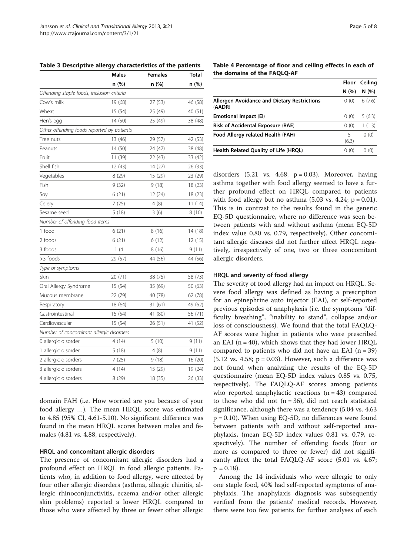|                                            | <b>Males</b> | <b>Females</b> | <b>Total</b> |
|--------------------------------------------|--------------|----------------|--------------|
|                                            | n (%)        | n (%)          | n (%)        |
| Offending staple foods, inclusion criteria |              |                |              |
| Cow's milk                                 | 19 (68)      | 27 (53)        | 46 (58)      |
| Wheat                                      | 15 (54)      | 25 (49)        | 40 (51)      |
| Hen's egg                                  | 14 (50)      | 25 (49)        | 38 (48)      |
| Other offending foods reported by patients |              |                |              |
| Tree nuts                                  | 13 (46)      | 29 (57)        | 42 (53)      |
| Peanuts                                    | 14 (50)      | 24 (47)        | 38 (48)      |
| Fruit                                      | 11 (39)      | 22 (43)        | 33 (42)      |
| Shell fish                                 | 12 (43)      | 14 (27)        | 26 (33)      |
| Vegetables                                 | 8 (29)       | 15 (29)        | 23 (29)      |
| Fish                                       | 9(32)        | 9(18)          | 18 (23)      |
| Soy                                        | 6(21)        | 12 (24)        | 18 (23)      |
| Celery                                     | 7(25)        | 4(8)           | 11(14)       |
| Sesame seed                                | 5(18)        | 3(6)           | 8(10)        |
| Number of offending food items             |              |                |              |
| 1 food                                     | 6(21)        | 8(16)          | 14 (18)      |
| 2 foods                                    | 6(21)        | 6(12)          | 12 (15)      |
| 3 foods                                    | 1(4)         | 8(16)          | 9(11)        |
| >3 foods                                   | 29 (57)      | 44 (56)        | 44 (56)      |
| Type of symptoms                           |              |                |              |
| Skin                                       | 20 (71)      | 38 (75)        | 58 (73)      |
| Oral Allergy Syndrome                      | 15 (54)      | 35 (69)        | 50 (63)      |
| Mucous membrane                            | 22 (79)      | 40 (78)        | 62 (78)      |
| Respiratory                                | 18 (64)      | 31 (61)        | 49 (62)      |
| Gastrointestinal                           | 15 (54)      | 41 (80)        | 56 (71)      |
| Cardiovascular                             | 15 (54)      | 26 (51)        | 41 (52)      |
| Number of concomitant allergic disorders   |              |                |              |
| 0 allergic disorder                        | 4 (14)       | 5 (10)         | 9 (11)       |
| 1 allergic disorder                        | 5(18)        | 4(8)           | 9 (11)       |
| 2 allergic disorders                       | 7(25)        | 9(18)          | 16 (20)      |
| 3 allergic disorders                       | 4 (14)       | 15 (29)        | 19 (24)      |
| 4 allergic disorders                       | 8(29)        | 18 (35)        | 26 (33)      |

<span id="page-4-0"></span>Table 3 Descriptive allergy characteristics of the patients

domain FAH (i.e. How worried are you because of your food allergy …). The mean HRQL score was estimated to 4.85 (95% CI, 4.61-5.10). No significant difference was found in the mean HRQL scores between males and females (4.81 vs. 4.88, respectively).

#### HRQL and concomitant allergic disorders

The presence of concomitant allergic disorders had a profound effect on HRQL in food allergic patients. Patients who, in addition to food allergy, were affected by four other allergic disorders (asthma, allergic rhinitis, allergic rhinoconjunctivitis, eczema and/or other allergic skin problems) reported a lower HRQL compared to those who were affected by three or fewer other allergic Table 4 Percentage of floor and ceiling effects in each of the domains of the FAQLQ-AF

|                                                              | Floor      | Ceiling |
|--------------------------------------------------------------|------------|---------|
|                                                              | N(%)       | N(96)   |
| <b>Allergen Avoidance and Dietary Restrictions</b><br>(AADR) | 0(0)       | 6(7.6)  |
| <b>Emotional Impact (EI)</b>                                 | 0(0)       | 5(6.3)  |
| <b>Risk of Accidental Exposure (RAE)</b>                     | 0(0)       | (1.3)   |
| Food Allergy related Health (FAH)                            | 5<br>(6.3) | (0)(0)  |
| Health Related Quality of Life (HRQL)                        | (0)(0)     |         |

disorders  $(5.21 \text{ vs. } 4.68; \text{ p} = 0.03)$ . Moreover, having asthma together with food allergy seemed to have a further profound effect on HRQL compared to patients with food allergy but no asthma  $(5.03 \text{ vs. } 4.24; \text{ p} = 0.01)$ . This is in contrast to the results found in the generic EQ-5D questionnaire, where no difference was seen between patients with and without asthma (mean EQ-5D index value 0.80 vs. 0.79, respectively). Other concomitant allergic diseases did not further affect HRQL negatively, irrespectively of one, two or three concomitant allergic disorders.

#### HRQL and severity of food allergy

The severity of food allergy had an impact on HRQL. Severe food allergy was defined as having a prescription for an epinephrine auto injector (EAI), or self-reported previous episodes of anaphylaxis (i.e. the symptoms "difficulty breathing", "inability to stand", collapse and/or loss of consciousness). We found that the total FAQLQ-AF scores were higher in patients who were prescribed an EAI ( $n = 40$ ), which shows that they had lower HRQL compared to patients who did not have an EAI  $(n = 39)$  $(5.12 \text{ vs. } 4.58; \text{ p} = 0.03)$ . However, such a difference was not found when analyzing the results of the EQ-5D questionnaire (mean EQ-5D index values 0.85 vs. 0.75, respectively). The FAQLQ-AF scores among patients who reported anaphylactic reactions  $(n = 43)$  compared to those who did not  $(n = 36)$ , did not reach statistical significance, although there was a tendency (5.04 vs. 4.63 p = 0.10). When using EQ-5D, no differences were found between patients with and without self-reported anaphylaxis, (mean EQ-5D index values 0.81 vs. 0.79, respectively). The number of offending foods (four or more as compared to three or fewer) did not significantly affect the total FAQLQ-AF score (5.01 vs. 4.67;  $p = 0.18$ .

Among the 14 individuals who were allergic to only one staple food, 40% had self-reported symptoms of anaphylaxis. The anaphylaxis diagnosis was subsequently verified from the patients' medical records. However, there were too few patients for further analyses of each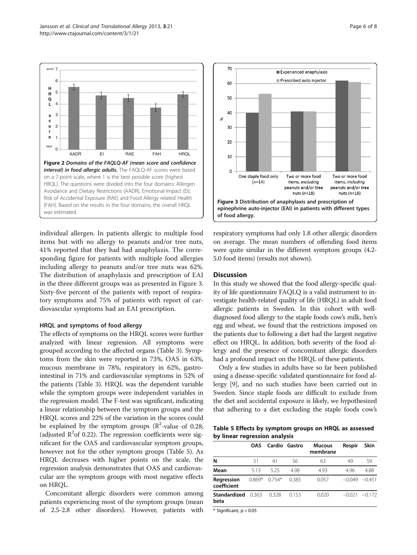<span id="page-5-0"></span>

individual allergen. In patients allergic to multiple food items but with no allergy to peanuts and/or tree nuts, 41% reported that they had had anaphylaxis. The corresponding figure for patients with multiple food allergies including allergy to peanuts and/or tree nuts was 62%. The distribution of anaphylaxis and prescription of EAI in the three different groups was as presented in Figure 3. Sixty-five percent of the patients with report of respiratory symptoms and 75% of patients with report of cardiovascular symptoms had an EAI prescription.

#### HRQL and symptoms of food allergy

The effects of symptoms on the HRQL scores were further analyzed with linear regression. All symptoms were grouped according to the affected organs (Table [3\)](#page-4-0). Symptoms from the skin were reported in 73%, OAS in 63%, mucous membrane in 78%, respiratory in 62%, gastrointestinal in 71% and cardiovascular symptoms in 52% of the patients (Table [3](#page-4-0)). HRQL was the dependent variable while the symptom groups were independent variables in the regression model. The F-test was significant, indicating a linear relationship between the symptom groups and the HRQL scores and 22% of the variation in the scores could be explained by the symptom groups  $(R^2$ -value of 0.28; (adjusted  $R^2$ of 0.22). The regression coefficients were significant for the OAS and cardiovascular symptom groups, however not for the other symptom groups (Table 5). As HRQL decreases with higher points on the scale, the regression analysis demonstrates that OAS and cardiovascular are the symptom groups with most negative effects on HRQL.

Concomitant allergic disorders were common among patients experiencing most of the symptom groups (mean of 2.5-2.8 other disorders). However, patients with



respiratory symptoms had only 1.8 other allergic disorders on average. The mean numbers of offending food items were quite similar in the different symptom groups (4.2- 5.0 food items) (results not shown).

# **Discussion**

In this study we showed that the food allergy-specific quality of life questionnaire FAQLQ is a valid instrument to investigate health-related quality of life (HRQL) in adult food allergic patients in Sweden. In this cohort with welldiagnosed food allergy to the staple foods cow's milk, hen's egg and wheat, we found that the restrictions imposed on the patients due to following a diet had the largest negative effect on HRQL. In addition, both severity of the food allergy and the presence of concomitant allergic disorders had a profound impact on the HRQL of these patients.

Only a few studies in adults have so far been published using a disease-specific validated questionnaire for food allergy [\[9](#page-7-0)], and no such studies have been carried out in Sweden. Since staple foods are difficult to exclude from the diet and accidental exposure is likely, we hypothesized that adhering to a diet excluding the staple foods cow's

Table 5 Effects by symptom groups on HRQL as assessed by linear regression analysis

|                           | OAS      |          | Cardio Gastro | <b>Mucous</b><br>membrane | Respir   | Skin     |
|---------------------------|----------|----------|---------------|---------------------------|----------|----------|
| N                         | 51       | 41       | 56            | 63                        | 49       | 59       |
| Mean                      | 5.13     | 525      | 4.98          | 4.93                      | 4.96     | 4.88     |
| Regression<br>coefficient | $0.869*$ | $0.754*$ | 0.385         | 0.057                     | $-0.049$ | $-0.451$ |
| Standardized<br>beta      | 0.363    | 0328     | 0.153         | 0.020                     | $-0.021$ | $-0.172$ |

\* Significant, p < 0.05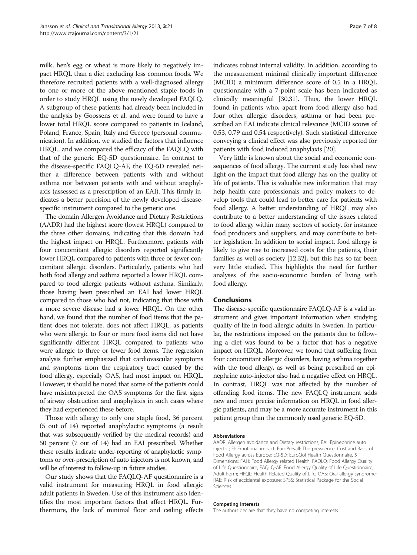milk, hen's egg or wheat is more likely to negatively impact HRQL than a diet excluding less common foods. We therefore recruited patients with a well-diagnosed allergy to one or more of the above mentioned staple foods in order to study HRQL using the newly developed FAQLQ. A subgroup of these patients had already been included in the analysis by Goossens et al. and were found to have a lower total HRQL score compared to patients in Iceland, Poland, France, Spain, Italy and Greece (personal communication). In addition, we studied the factors that influence HRQL, and we compared the efficacy of the FAQLQ with that of the generic EQ-5D questionnaire. In contrast to the disease-specific FAQLQ-AF, the EQ-5D revealed neither a difference between patients with and without asthma nor between patients with and without anaphylaxis (assessed as a prescription of an EAI). This firmly indicates a better precision of the newly developed diseasespecific instrument compared to the generic one.

The domain Allergen Avoidance and Dietary Restrictions (AADR) had the highest score (lowest HRQL) compared to the three other domains, indicating that this domain had the highest impact on HRQL. Furthermore, patients with four concomitant allergic disorders reported significantly lower HRQL compared to patients with three or fewer concomitant allergic disorders. Particularly, patients who had both food allergy and asthma reported a lower HRQL compared to food allergic patients without asthma. Similarly, those having been prescribed an EAI had lower HRQL compared to those who had not, indicating that those with a more severe disease had a lower HRQL. On the other hand, we found that the number of food items that the patient does not tolerate, does not affect HRQL, as patients who were allergic to four or more food items did not have significantly different HRQL compared to patients who were allergic to three or fewer food items. The regression analysis further emphasized that cardiovascular symptoms and symptoms from the respiratory tract caused by the food allergy, especially OAS, had most impact on HRQL. However, it should be noted that some of the patients could have misinterpreted the OAS symptoms for the first signs of airway obstruction and anaphylaxis in such cases where they had experienced these before.

Those with allergy to only one staple food, 36 percent (5 out of 14) reported anaphylactic symptoms (a result that was subsequently verified by the medical records) and 50 percent (7 out of 14) had an EAI prescribed. Whether these results indicate under-reporting of anaphylactic symptoms or over-prescription of auto injectors is not known, and will be of interest to follow-up in future studies.

Our study shows that the FAQLQ-AF questionnaire is a valid instrument for measuring HRQL in food allergic adult patients in Sweden. Use of this instrument also identifies the most important factors that affect HRQL. Furthermore, the lack of minimal floor and ceiling effects indicates robust internal validity. In addition, according to the measurement minimal clinically important difference (MCID) a minimum difference score of 0.5 in a HRQL questionnaire with a 7-point scale has been indicated as clinically meaningful [\[30,31](#page-7-0)]. Thus, the lower HRQL found in patients who, apart from food allergy also had four other allergic disorders, asthma or had been prescribed an EAI indicate clinical relevance (MCID scores of 0.53, 0.79 and 0.54 respectively). Such statistical difference conveying a clinical effect was also previously reported for patients with food induced anaphylaxis [[20\]](#page-7-0).

Very little is known about the social and economic consequences of food allergy. The current study has shed new light on the impact that food allergy has on the quality of life of patients. This is valuable new information that may help health care professionals and policy makers to develop tools that could lead to better care for patients with food allergy. A better understanding of HRQL may also contribute to a better understanding of the issues related to food allergy within many sectors of society, for instance food producers and suppliers, and may contribute to better legislation. In addition to social impact, food allergy is likely to give rise to increased costs for the patients, their families as well as society [[12,32\]](#page-7-0), but this has so far been very little studied. This highlights the need for further analyses of the socio-economic burden of living with food allergy.

# **Conclusions**

The disease-specific questionnaire FAQLQ-AF is a valid instrument and gives important information when studying quality of life in food allergic adults in Sweden. In particular, the restrictions imposed on the patients due to following a diet was found to be a factor that has a negative impact on HRQL. Moreover, we found that suffering from four concomitant allergic disorders, having asthma together with the food allergy, as well as being prescribed an epinephrine auto-injector also had a negative effect on HRQL. In contrast, HRQL was not affected by the number of offending food items. The new FAQLQ instrument adds new and more precise information on HRQL in food allergic patients, and may be a more accurate instrument in this patient group than the commonly used generic EQ-5D.

#### Abbreviations

AADR: Allergen avoidance and Dietary restrictions; EAI: Epinephrine auto injector; EI: Emotional impact; EuroPrevall: The prevalence, Cost and Basis of Food Allergy across Europe; EQ-5D: EuroQol Health Questionnaire, 5 Dimensions; FAH: Food Allergy related Health; FAQLQ: Food Allergy Quality of Life Questionnaire; FAQLQ-AF: Food Allergy Quality of Life Questionnaire, Adult Form; HRQL: Health Related Quality of Life; OAS: Oral allergy syndrome; RAE: Risk of accidental exposure; SPSS: Statistical Package for the Social Sciences.

#### Competing interests

The authors declare that they have no competing interests.